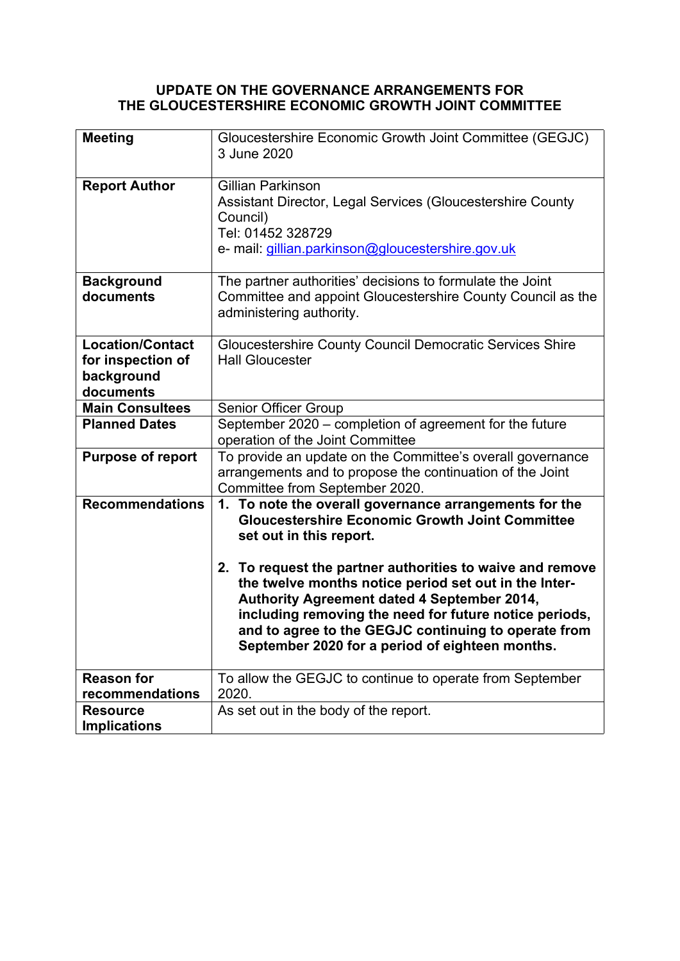# **UPDATE ON THE GOVERNANCE ARRANGEMENTS FOR THE GLOUCESTERSHIRE ECONOMIC GROWTH JOINT COMMITTEE**

| <b>Meeting</b>                                                          | Gloucestershire Economic Growth Joint Committee (GEGJC)<br>3 June 2020                                                                                                                                                                                                                                                                                                                                                                                                                |
|-------------------------------------------------------------------------|---------------------------------------------------------------------------------------------------------------------------------------------------------------------------------------------------------------------------------------------------------------------------------------------------------------------------------------------------------------------------------------------------------------------------------------------------------------------------------------|
| <b>Report Author</b>                                                    | Gillian Parkinson<br>Assistant Director, Legal Services (Gloucestershire County<br>Council)<br>Tel: 01452 328729<br>e- mail: gillian.parkinson@gloucestershire.gov.uk                                                                                                                                                                                                                                                                                                                 |
| <b>Background</b><br>documents                                          | The partner authorities' decisions to formulate the Joint<br>Committee and appoint Gloucestershire County Council as the<br>administering authority.                                                                                                                                                                                                                                                                                                                                  |
| <b>Location/Contact</b><br>for inspection of<br>background<br>documents | Gloucestershire County Council Democratic Services Shire<br><b>Hall Gloucester</b>                                                                                                                                                                                                                                                                                                                                                                                                    |
| <b>Main Consultees</b>                                                  | Senior Officer Group                                                                                                                                                                                                                                                                                                                                                                                                                                                                  |
| <b>Planned Dates</b>                                                    | September 2020 - completion of agreement for the future<br>operation of the Joint Committee                                                                                                                                                                                                                                                                                                                                                                                           |
| <b>Purpose of report</b>                                                | To provide an update on the Committee's overall governance<br>arrangements and to propose the continuation of the Joint<br>Committee from September 2020.                                                                                                                                                                                                                                                                                                                             |
| <b>Recommendations</b>                                                  | 1. To note the overall governance arrangements for the<br><b>Gloucestershire Economic Growth Joint Committee</b><br>set out in this report.<br>2. To request the partner authorities to waive and remove<br>the twelve months notice period set out in the Inter-<br>Authority Agreement dated 4 September 2014,<br>including removing the need for future notice periods,<br>and to agree to the GEGJC continuing to operate from<br>September 2020 for a period of eighteen months. |
| <b>Reason for</b>                                                       | To allow the GEGJC to continue to operate from September                                                                                                                                                                                                                                                                                                                                                                                                                              |
| recommendations                                                         | 2020.                                                                                                                                                                                                                                                                                                                                                                                                                                                                                 |
| <b>Resource</b><br><b>Implications</b>                                  | As set out in the body of the report.                                                                                                                                                                                                                                                                                                                                                                                                                                                 |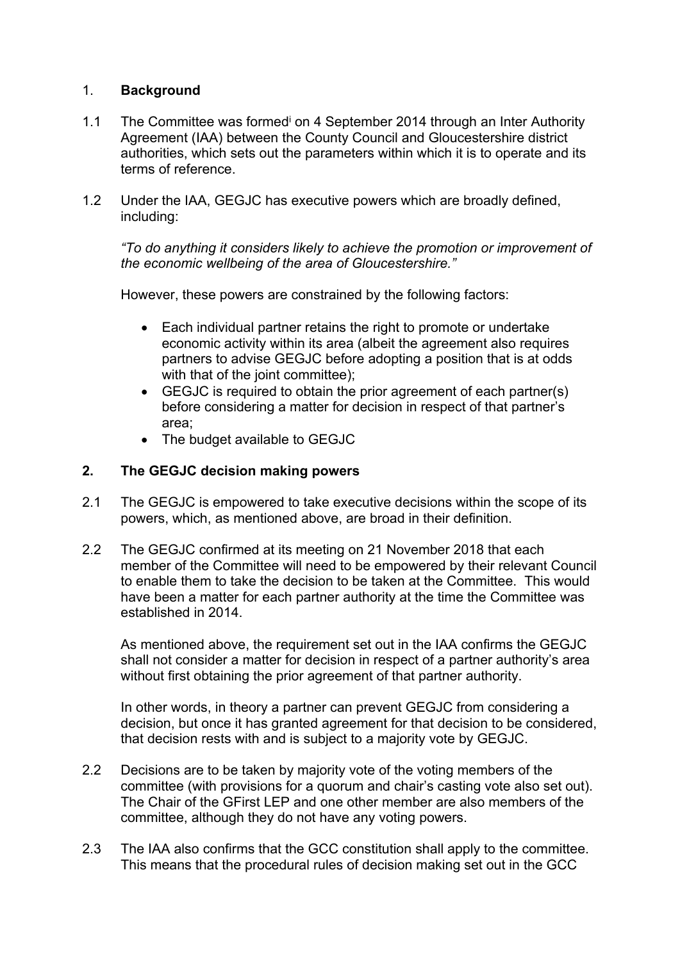## 1. **Background**

- 1.1 The Committee was formed<sup>i</sup> on 4 September 2014 through an Inter Authority Agreement (IAA) between the County Council and Gloucestershire district authorities, which sets out the parameters within which it is to operate and its terms of reference.
- 1.2 Under the IAA, GEGJC has executive powers which are broadly defined, including:

*"To do anything it considers likely to achieve the promotion or improvement of the economic wellbeing of the area of Gloucestershire."*

However, these powers are constrained by the following factors:

- Each individual partner retains the right to promote or undertake economic activity within its area (albeit the agreement also requires partners to advise GEGJC before adopting a position that is at odds with that of the joint committee):
- GEGJC is required to obtain the prior agreement of each partner(s) before considering a matter for decision in respect of that partner's area;
- The budget available to GEGJC

## **2. The GEGJC decision making powers**

- 2.1 The GEGJC is empowered to take executive decisions within the scope of its powers, which, as mentioned above, are broad in their definition.
- 2.2 The GEGJC confirmed at its meeting on 21 November 2018 that each member of the Committee will need to be empowered by their relevant Council to enable them to take the decision to be taken at the Committee. This would have been a matter for each partner authority at the time the Committee was established in 2014.

As mentioned above, the requirement set out in the IAA confirms the GEGJC shall not consider a matter for decision in respect of a partner authority's area without first obtaining the prior agreement of that partner authority.

In other words, in theory a partner can prevent GEGJC from considering a decision, but once it has granted agreement for that decision to be considered, that decision rests with and is subject to a majority vote by GEGJC.

- 2.2 Decisions are to be taken by majority vote of the voting members of the committee (with provisions for a quorum and chair's casting vote also set out). The Chair of the GFirst LEP and one other member are also members of the committee, although they do not have any voting powers.
- 2.3 The IAA also confirms that the GCC constitution shall apply to the committee. This means that the procedural rules of decision making set out in the GCC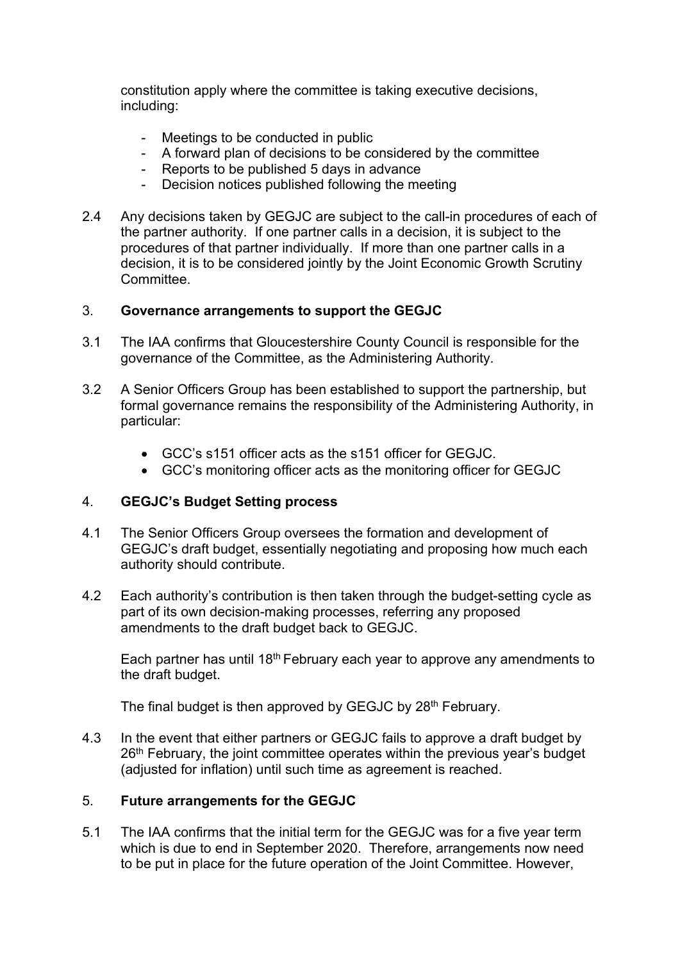constitution apply where the committee is taking executive decisions, including:

- Meetings to be conducted in public
- A forward plan of decisions to be considered by the committee
- Reports to be published 5 days in advance<br>- Decision notices published following the me
- Decision notices published following the meeting
- 2.4 Any decisions taken by GEGJC are subject to the call-in procedures of each of the partner authority. If one partner calls in a decision, it is subject to the procedures of that partner individually. If more than one partner calls in a decision, it is to be considered jointly by the Joint Economic Growth Scrutiny **Committee.**

### 3. **Governance arrangements to support the GEGJC**

- 3.1 The IAA confirms that Gloucestershire County Council is responsible for the governance of the Committee, as the Administering Authority.
- 3.2 A Senior Officers Group has been established to support the partnership, but formal governance remains the responsibility of the Administering Authority, in particular:
	- GCC's s151 officer acts as the s151 officer for GEGJC.
	- GCC's monitoring officer acts as the monitoring officer for GEGJC

### 4. **GEGJC's Budget Setting process**

- 4.1 The Senior Officers Group oversees the formation and development of GEGJC's draft budget, essentially negotiating and proposing how much each authority should contribute.
- 4.2 Each authority's contribution is then taken through the budget-setting cycle as part of its own decision-making processes, referring any proposed amendments to the draft budget back to GEGJC.

Each partner has until 18<sup>th</sup> February each year to approve any amendments to the draft budget.

The final budget is then approved by GEGJC by 28<sup>th</sup> February.

4.3 In the event that either partners or GEGJC fails to approve a draft budget by 26<sup>th</sup> February, the joint committee operates within the previous year's budget (adjusted for inflation) until such time as agreement is reached.

### 5. **Future arrangements for the GEGJC**

5.1 The IAA confirms that the initial term for the GEGJC was for a five year term which is due to end in September 2020. Therefore, arrangements now need to be put in place for the future operation of the Joint Committee. However,